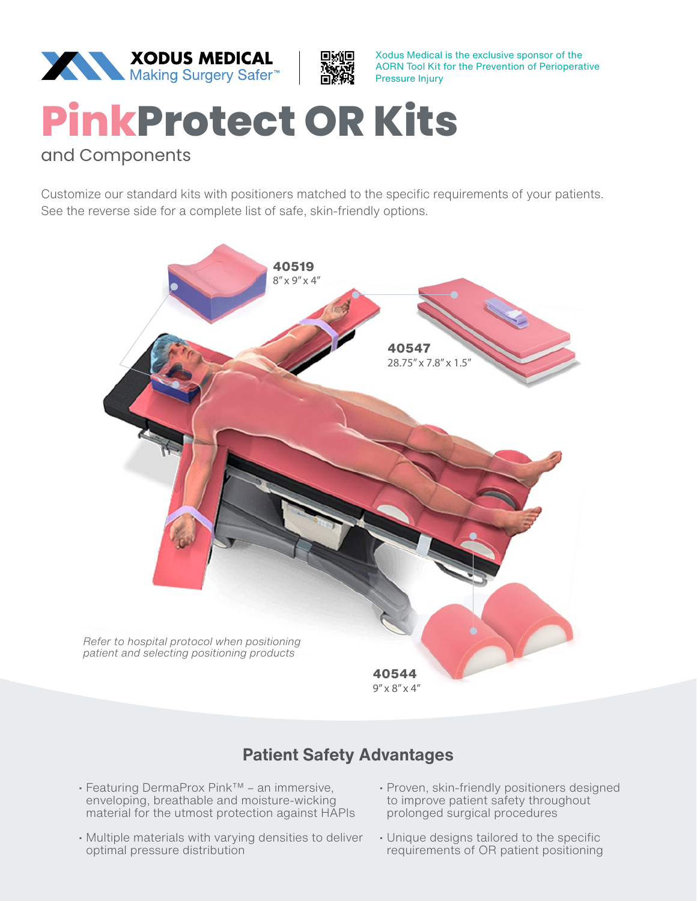



Xodus Medical is the exclusive sponsor of the AORN Tool Kit for the Prevention of Perioperative

## **PinkProtect OR Kits**

## and Components

Customize our standard kits with positioners matched to the specific requirements of your patients. See the reverse side for a complete list of safe, skin-friendly options.



## **Patient Safety Advantages**

- Featuring DermaProx Pink™ an immersive, enveloping, breathable and moisture-wicking material for the utmost protection against HAPIs
- Multiple materials with varying densities to deliver optimal pressure distribution
- Proven, skin-friendly positioners designed to improve patient safety throughout prolonged surgical procedures
- Unique designs tailored to the specific requirements of OR patient positioning